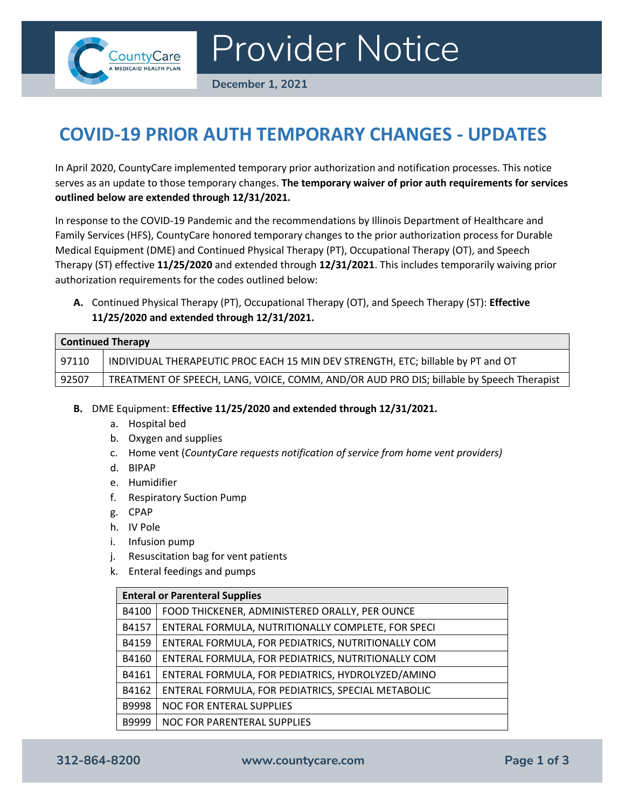

Provider Notice

**December 1, 2021**

## **COVID-19 PRIOR AUTH TEMPORARY CHANGES - UPDATES**

In April 2020, CountyCare implemented temporary prior authorization and notification processes. This notice serves as an update to those temporary changes. **The temporary waiver of prior auth requirements for services outlined below are extended through 12/31/2021.**

In response to the COVID-19 Pandemic and the recommendations by Illinois Department of Healthcare and Family Services (HFS), CountyCare honored temporary changes to the prior authorization process for Durable Medical Equipment (DME) and Continued Physical Therapy (PT), Occupational Therapy (OT), and Speech Therapy (ST) effective **11/25/2020** and extended through **12/31/2021**. This includes temporarily waiving prior authorization requirements for the codes outlined below:

**A.** Continued Physical Therapy (PT), Occupational Therapy (OT), and Speech Therapy (ST): **Effective 11/25/2020 and extended through 12/31/2021.**

| <b>Continued Therapy</b> |                                                                                          |  |
|--------------------------|------------------------------------------------------------------------------------------|--|
| 97110                    | INDIVIDUAL THERAPEUTIC PROC EACH 15 MIN DEV STRENGTH, ETC; billable by PT and OT         |  |
| 92507                    | TREATMENT OF SPEECH, LANG, VOICE, COMM, AND/OR AUD PRO DIS; billable by Speech Therapist |  |

- **B.** DME Equipment: **Effective 11/25/2020 and extended through 12/31/2021.**
	- a. Hospital bed
	- b. Oxygen and supplies
	- c. Home vent (*CountyCare requests notification of service from home vent providers)*
	- d. BIPAP
	- e. Humidifier
	- f. Respiratory Suction Pump
	- g. CPAP
	- h. IV Pole
	- i. Infusion pump
	- j. Resuscitation bag for vent patients
	- k. Enteral feedings and pumps

| <b>Enteral or Parenteral Supplies</b> |                                                    |  |
|---------------------------------------|----------------------------------------------------|--|
| B4100                                 | FOOD THICKENER, ADMINISTERED ORALLY, PER OUNCE     |  |
| B4157                                 | ENTERAL FORMULA, NUTRITIONALLY COMPLETE, FOR SPECI |  |
| B4159                                 | ENTERAL FORMULA, FOR PEDIATRICS, NUTRITIONALLY COM |  |
| B4160                                 | ENTERAL FORMULA, FOR PEDIATRICS, NUTRITIONALLY COM |  |
| B4161                                 | ENTERAL FORMULA, FOR PEDIATRICS, HYDROLYZED/AMINO  |  |
| B4162                                 | ENTERAL FORMULA, FOR PEDIATRICS, SPECIAL METABOLIC |  |
| B9998                                 | NOC FOR ENTERAL SUPPLIES                           |  |
| B9999                                 | NOC FOR PARENTERAL SUPPLIES                        |  |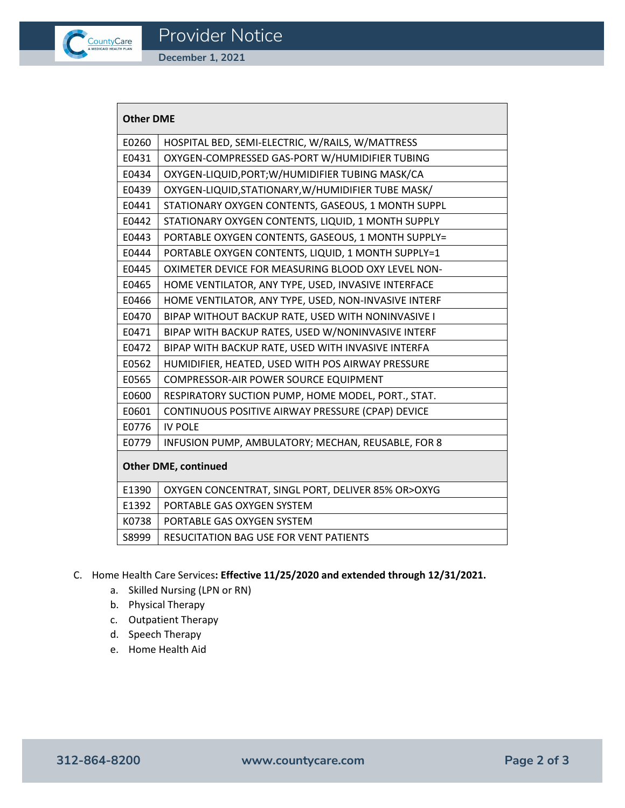

**December 1, 2021**

| <b>Other DME</b>            |                                                      |  |
|-----------------------------|------------------------------------------------------|--|
| E0260                       | HOSPITAL BED, SEMI-ELECTRIC, W/RAILS, W/MATTRESS     |  |
| E0431                       | OXYGEN-COMPRESSED GAS-PORT W/HUMIDIFIER TUBING       |  |
| E0434                       | OXYGEN-LIQUID, PORT; W/HUMIDIFIER TUBING MASK/CA     |  |
| E0439                       | OXYGEN-LIQUID, STATIONARY, W/HUMIDIFIER TUBE MASK/   |  |
| E0441                       | STATIONARY OXYGEN CONTENTS, GASEOUS, 1 MONTH SUPPL   |  |
| E0442                       | STATIONARY OXYGEN CONTENTS, LIQUID, 1 MONTH SUPPLY   |  |
| E0443                       | PORTABLE OXYGEN CONTENTS, GASEOUS, 1 MONTH SUPPLY=   |  |
| E0444                       | PORTABLE OXYGEN CONTENTS, LIQUID, 1 MONTH SUPPLY=1   |  |
| E0445                       | OXIMETER DEVICE FOR MEASURING BLOOD OXY LEVEL NON-   |  |
| E0465                       | HOME VENTILATOR, ANY TYPE, USED, INVASIVE INTERFACE  |  |
| E0466                       | HOME VENTILATOR, ANY TYPE, USED, NON-INVASIVE INTERF |  |
| E0470                       | BIPAP WITHOUT BACKUP RATE, USED WITH NONINVASIVE I   |  |
| E0471                       | BIPAP WITH BACKUP RATES, USED W/NONINVASIVE INTERF   |  |
| E0472                       | BIPAP WITH BACKUP RATE, USED WITH INVASIVE INTERFA   |  |
| E0562                       | HUMIDIFIER, HEATED, USED WITH POS AIRWAY PRESSURE    |  |
| E0565                       | COMPRESSOR-AIR POWER SOURCE EQUIPMENT                |  |
| E0600                       | RESPIRATORY SUCTION PUMP, HOME MODEL, PORT., STAT.   |  |
| E0601                       | CONTINUOUS POSITIVE AIRWAY PRESSURE (CPAP) DEVICE    |  |
| E0776                       | <b>IV POLE</b>                                       |  |
| E0779                       | INFUSION PUMP, AMBULATORY; MECHAN, REUSABLE, FOR 8   |  |
| <b>Other DME, continued</b> |                                                      |  |
| E1390                       | OXYGEN CONCENTRAT, SINGL PORT, DELIVER 85% OR>OXYG   |  |
| E1392                       | PORTABLE GAS OXYGEN SYSTEM                           |  |
| K0738                       | PORTABLE GAS OXYGEN SYSTEM                           |  |
| S8999                       | <b>RESUCITATION BAG USE FOR VENT PATIENTS</b>        |  |

- C. Home Health Care Services**: Effective 11/25/2020 and extended through 12/31/2021.**
	- a. Skilled Nursing (LPN or RN)
	- b. Physical Therapy
	- c. Outpatient Therapy
	- d. Speech Therapy
	- e. Home Health Aid